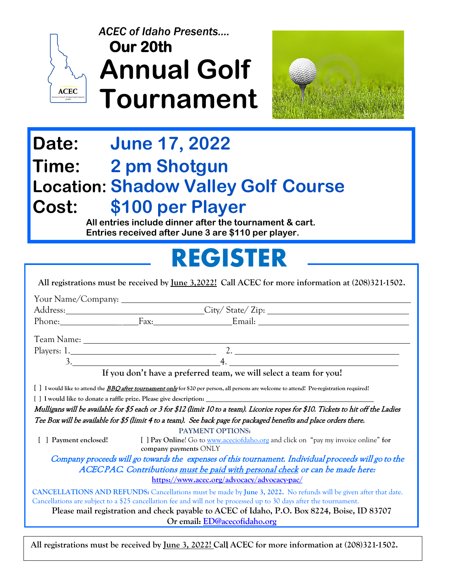

## *ACEC of Idaho Presents….* **Our 20th Annual Golf Tournament**



## **Date: June 17, 2022 Time: 2 pm Shotgun Location: Shadow Valley Golf Course Cost: \$100 per Player**

**All entries include dinner after the tournament & cart. Entries received after June 3 are \$110 per player.**

# **REGISTER**

|                                                                                             |                       | All registrations must be received by <u>June 3,2022!</u> Call ACEC for more information at (208)321-1502.                                       |  |
|---------------------------------------------------------------------------------------------|-----------------------|--------------------------------------------------------------------------------------------------------------------------------------------------|--|
|                                                                                             |                       |                                                                                                                                                  |  |
|                                                                                             |                       |                                                                                                                                                  |  |
|                                                                                             |                       |                                                                                                                                                  |  |
|                                                                                             |                       |                                                                                                                                                  |  |
|                                                                                             |                       |                                                                                                                                                  |  |
|                                                                                             |                       |                                                                                                                                                  |  |
| If you don't have a preferred team, we will select a team for you!                          |                       |                                                                                                                                                  |  |
|                                                                                             |                       | I I would like to attend the <i>BBQ after tournament only</i> for \$20 per person, all persons are welcome to attend! Pre-registration required! |  |
|                                                                                             |                       |                                                                                                                                                  |  |
|                                                                                             |                       | Mulligans will be available for \$5 each or 3 for \$12 (limit 10 to a team). Licorice ropes for \$10. Tickets to hit off the Ladies              |  |
|                                                                                             |                       | Tee Box will be available for \$5 (limit 4 to a team). See back page for packaged benefits and place orders there.                               |  |
|                                                                                             |                       | <b>PAYMENT OPTIONS:</b>                                                                                                                          |  |
| [ ] Payment enclosed!                                                                       | company payments ONLY | [ ] Pay Online! Go to www.aceciofdaho.org and click on "pay my invoice online" for                                                               |  |
|                                                                                             |                       | Company proceeds will go towards the expenses of this tournament. Individual proceeds will go to the                                             |  |
|                                                                                             |                       | ACECPAC. Contributions must be paid with personal check or can be made here:                                                                     |  |
|                                                                                             |                       | https://www.acec.org/advocacy/advocacy-pac/                                                                                                      |  |
|                                                                                             |                       | <b>CANCELLATIONS AND REFUNDS:</b> Cancellations must be made by <b>June 3, 2022.</b> No refunds will be given after that date.                   |  |
|                                                                                             |                       | Cancellations are subject to a \$25 cancellation fee and will not be processed up to 30 days after the tournament.                               |  |
| Please mail registration and check payable to ACEC of Idaho, P.O. Box 8224, Boise, ID 83707 |                       |                                                                                                                                                  |  |
| Or email: ED@acecofidaho.org                                                                |                       |                                                                                                                                                  |  |
|                                                                                             |                       |                                                                                                                                                  |  |

**All registrations must be received by June 3, 2022! Call**1 **ACEC for more information at (208)321-1502.**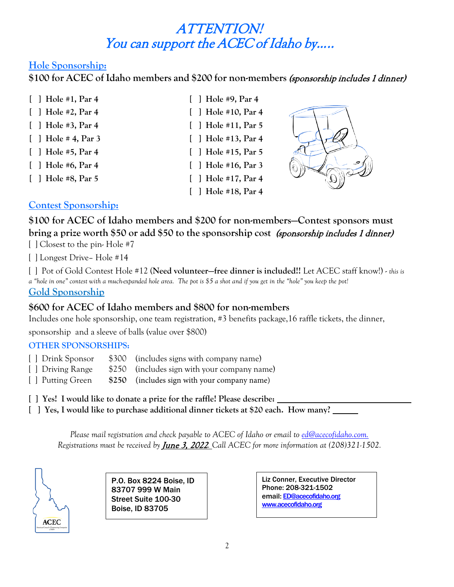### ATTENTION! You can support the ACEC of Idaho by.....

#### **Hole Sponsorship:**

**\$100 for ACEC of Idaho members and \$200 for non-members** (sponsorship includes 1 dinner)

- 
- 
- 
- **[ ] Hole #8, Par 5 [ ] Hole #17, Par 4**
- **[ ] Hole #1, Par 4 [ ] Hole #9, Par 4**
- **[ ] Hole #2, Par 4 [ ] Hole #10, Par 4 [ ] Hole #3, Par 4 [ ] Hole #11, Par 5 [ ] Hole # 4, Par 3 [ ] Hole #13, Par 4 [ ] Hole #5, Par 4 [ ] Hole #15, Par 5 [ ] Hole #6, Par 4 [ ] Hole #16, Par 3**

**[ ] Hole #18, Par 4**



#### **Contest Sponsorship:**

**\$100 for ACEC of Idaho members and \$200 for non-members—Contest sponsors must bring a prize worth \$50 or add \$50 to the sponsorship cost** (sponsorship includes 1 dinner)

[ ] Closest to the pin- Hole #7

[ ] Longest Drive– Hole #14

[ ] Pot of Gold Contest Hole #12 (**Need volunteer—free dinner is included!!** Let ACEC staff know!) - *this is* a "hole in one" contest with a much-expanded hole area. The pot is \$5 a shot and if you get in the "hole" you keep the pot!

**Gold Sponsorship**

#### **\$600 for ACEC of Idaho members and \$800 for non-members**

Includes one hole sponsorship, one team registration, #3 benefits package,16 raffle tickets, the dinner,

sponsorship and a sleeve of balls (value over \$800)

#### **OTHER SPONSORSHIPS:**

- [ ] Drink Sponsor \$300 (includes signs with company name)
- [ ] Driving Range \$250 (includes sign with your company name)
- [ ] Putting Green **\$250** (includes sign with your company name)
- **[ ] Yes! I would like to donate a prize for the raffle! Please describe:**
- **[ ] Yes, I would like to purchase additional dinner tickets at \$20 each. How many?**

*Please mail registration and check payable to ACEC of Idaho or email to [ed@acecofidaho.com.](mailto:ed@acecofidaho.com.) Registrations must be received by* June 3, 2022*. Call ACEC for more information at (208)321-1502.* 



P.O. Box 8224 Boise, ID 83707 999 W Main Street Suite 100-30 Boise, ID 83705

Liz Conner, Executive Director Phone: 208-321-1502 email: [ED@acecofidaho.org](mailto:ED@acecofidaho.org) [www.acecofidaho.org](http://www.acecofidaho.org/)